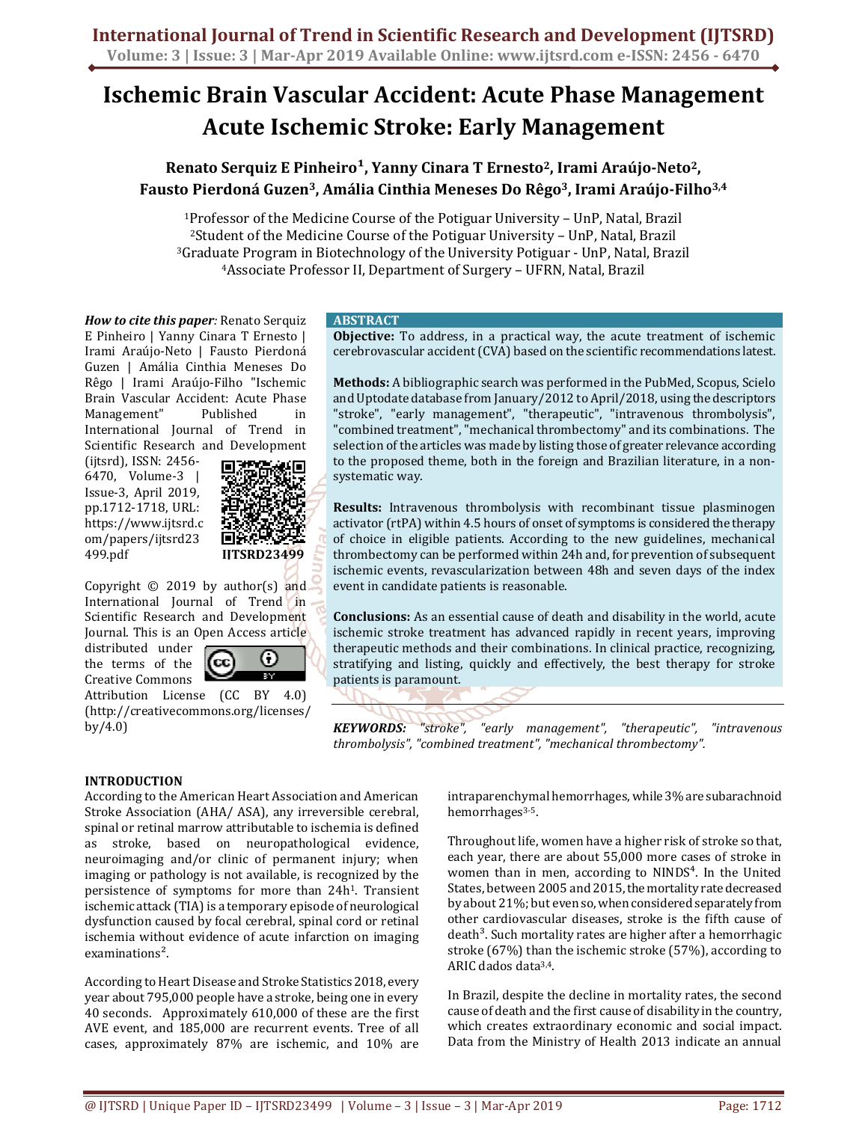# **Ischemic Brain Vascular Accident: Acute Phase Management Acute Ischemic Stroke: Early Management**

# **Renato Serquiz E Pinheiro¹, Yanny Cinara T Ernesto2, Irami Araújo-Neto2, Fausto Pierdoná Guzen3, Amália Cinthia Meneses Do Rêgo3, Irami Araújo-Filho3,4**

Professor of the Medicine Course of the Potiguar University – UnP, Natal, Brazil Student of the Medicine Course of the Potiguar University – UnP, Natal, Brazil Graduate Program in Biotechnology of the University Potiguar - UnP, Natal, Brazil Associate Professor II, Department of Surgery – UFRN, Natal, Brazil

*How to cite this paper:* Renato Serquiz E Pinheiro | Yanny Cinara T Ernesto | Irami Araújo-Neto | Fausto Pierdoná Guzen | Amália Cinthia Meneses Do Rêgo | Irami Araújo-Filho "Ischemic Brain Vascular Accident: Acute Phase Management" Published in International Journal of Trend in Scientific Research and Development

(ijtsrd), ISSN: 2456- 6470, Volume-3 | Issue-3, April 2019, pp.1712-1718, URL: https://www.ijtsrd.c om/papers/ijtsrd23 499.pdf



Copyright  $©$  2019 by author(s) and International Journal of Trend in Scientific Research and Development Journal. This is an Open Access article

distributed under the terms of the Creative Commons



Attribution License (CC BY 4.0) (http://creativecommons.org/licenses/ by/4.0)

# **ABSTRACT**

**Objective:** To address, in a practical way, the acute treatment of ischemic cerebrovascular accident (CVA) based on the scientific recommendations latest.

**Methods:** A bibliographic search was performed in the PubMed, Scopus, Scielo and Uptodate database from January/2012 to April/2018, using the descriptors "stroke", "early management", "therapeutic", "intravenous thrombolysis", "combined treatment", "mechanical thrombectomy" and its combinations. The selection of the articles was made by listing those of greater relevance according to the proposed theme, both in the foreign and Brazilian literature, in a nonsystematic way.

**Results:** Intravenous thrombolysis with recombinant tissue plasminogen activator (rtPA) within 4.5 hours of onset of symptoms is considered the therapy of choice in eligible patients. According to the new guidelines, mechanical thrombectomy can be performed within 24h and, for prevention of subsequent ischemic events, revascularization between 48h and seven days of the index event in candidate patients is reasonable.

**Conclusions:** As an essential cause of death and disability in the world, acute ischemic stroke treatment has advanced rapidly in recent years, improving therapeutic methods and their combinations. In clinical practice, recognizing, stratifying and listing, quickly and effectively, the best therapy for stroke patients is paramount.

*KEYWORDS: "stroke", "early management", "therapeutic", "intravenous thrombolysis", "combined treatment", "mechanical thrombectomy".* 

# **INTRODUCTION**

According to the American Heart Association and American Stroke Association (AHA/ ASA), any irreversible cerebral, spinal or retinal marrow attributable to ischemia is defined as stroke, based on neuropathological evidence, neuroimaging and/or clinic of permanent injury; when imaging or pathology is not available, is recognized by the persistence of symptoms for more than 24h1. Transient ischemic attack (TIA) is a temporary episode of neurological dysfunction caused by focal cerebral, spinal cord or retinal ischemia without evidence of acute infarction on imaging examinations<sup>2</sup>.

According to Heart Disease and Stroke Statistics 2018, every year about 795,000 people have a stroke, being one in every 40 seconds. Approximately 610,000 of these are the first AVE event, and 185,000 are recurrent events. Tree of all cases, approximately 87% are ischemic, and 10% are intraparenchymal hemorrhages, while 3% are subarachnoid hemorrhages<sup>3-5</sup>.

Throughout life, women have a higher risk of stroke so that, each year, there are about 55,000 more cases of stroke in women than in men, according to NINDS<sup>4</sup>. In the United States, between 2005 and 2015, the mortality rate decreased by about 21%; but even so, when considered separately from other cardiovascular diseases, stroke is the fifth cause of death<sup>3</sup>. Such mortality rates are higher after a hemorrhagic stroke (67%) than the ischemic stroke (57%), according to ARIC dados data3,4.

In Brazil, despite the decline in mortality rates, the second cause of death and the first cause of disability in the country, which creates extraordinary economic and social impact. Data from the Ministry of Health 2013 indicate an annual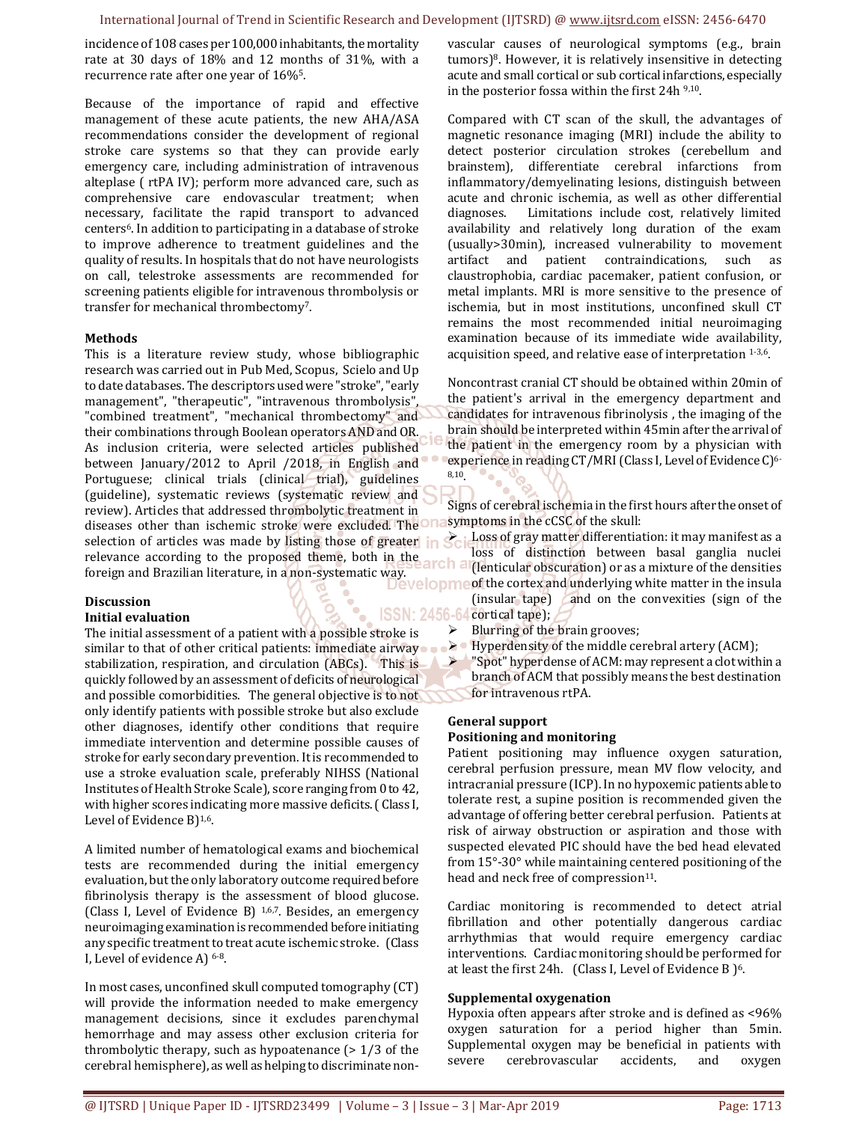incidence of 108 cases per 100,000 inhabitants, the mortality rate at 30 days of 18% and 12 months of 31%, with a recurrence rate after one year of 16%5.

Because of the importance of rapid and effective management of these acute patients, the new AHA/ASA recommendations consider the development of regional stroke care systems so that they can provide early emergency care, including administration of intravenous alteplase ( rtPA IV); perform more advanced care, such as comprehensive care endovascular treatment; when necessary, facilitate the rapid transport to advanced centers6. In addition to participating in a database of stroke to improve adherence to treatment guidelines and the quality of results. In hospitals that do not have neurologists on call, telestroke assessments are recommended for screening patients eligible for intravenous thrombolysis or transfer for mechanical thrombectomy7.

#### **Methods**

This is a literature review study, whose bibliographic research was carried out in Pub Med, Scopus, Scielo and Up to date databases. The descriptors used were "stroke", "early management", "therapeutic", "intravenous thrombolysis", "combined treatment", "mechanical thrombectomy" and their combinations through Boolean operators AND and OR. As inclusion criteria, were selected articles published between January/2012 to April /2018, in English and Portuguese; clinical trials (clinical trial), guidelines (guideline), systematic reviews (systematic review and review). Articles that addressed thrombolytic treatment in diseases other than ischemic stroke were excluded. The selection of articles was made by listing those of greater in relevance according to the proposed theme, both in the arch and foreign and Brazilian literature, in a non-systematic way.<br> **ESPENTED AI (lenticular obscuration)** or as a mixture of the densities

#### **Discussion**

#### **Initial evaluation**

The initial assessment of a patient with a possible stroke is similar to that of other critical patients: immediate airway stabilization, respiration, and circulation (ABCs). This is quickly followed by an assessment of deficits of neurological and possible comorbidities. The general objective is to not only identify patients with possible stroke but also exclude other diagnoses, identify other conditions that require immediate intervention and determine possible causes of stroke for early secondary prevention. It is recommended to use a stroke evaluation scale, preferably NIHSS (National Institutes of Health Stroke Scale), score ranging from 0 to 42, with higher scores indicating more massive deficits. ( Class I, Level of Evidence B)1,6.

A limited number of hematological exams and biochemical tests are recommended during the initial emergency evaluation, but the only laboratory outcome required before fibrinolysis therapy is the assessment of blood glucose. (Class I, Level of Evidence B) 1,6,7. Besides, an emergency neuroimaging examination is recommended before initiating any specific treatment to treat acute ischemic stroke. (Class I, Level of evidence A) 6-8.

In most cases, unconfined skull computed tomography (CT) will provide the information needed to make emergency management decisions, since it excludes parenchymal hemorrhage and may assess other exclusion criteria for thrombolytic therapy, such as hypoatenance  $(> 1/3)$  of the cerebral hemisphere), as well as helping to discriminate nonvascular causes of neurological symptoms (e.g., brain tumors)8. However, it is relatively insensitive in detecting acute and small cortical or sub cortical infarctions, especially in the posterior fossa within the first 24h 9,10.

Compared with CT scan of the skull, the advantages of magnetic resonance imaging (MRI) include the ability to detect posterior circulation strokes (cerebellum and brainstem), differentiate cerebral infarctions from inflammatory/demyelinating lesions, distinguish between acute and chronic ischemia, as well as other differential diagnoses. Limitations include cost, relatively limited availability and relatively long duration of the exam (usually>30min), increased vulnerability to movement artifact and patient contraindications, such as claustrophobia, cardiac pacemaker, patient confusion, or metal implants. MRI is more sensitive to the presence of ischemia, but in most institutions, unconfined skull CT remains the most recommended initial neuroimaging examination because of its immediate wide availability, acquisition speed, and relative ease of interpretation 1-3,6.

Noncontrast cranial CT should be obtained within 20min of the patient's arrival in the emergency department and candidates for intravenous fibrinolysis , the imaging of the brain should be interpreted within 45min after the arrival of the patient in the emergency room by a physician with experience in reading CT/MRI (Class I, Level of Evidence C)<sup>6-</sup> 8,10.

Signs of cerebral ischemia in the first hours after the onset of symptoms in the cCSC of the skull:

 Loss of gray matter differentiation: it may manifest as a loss of distinction between basal ganglia nuclei of the cortex and underlying white matter in the insula

- (insular tape) and on the convexities (sign of the cortical tape); **ISSN:** 2456-64 cortical tape);  $\frac{1}{2}$ <br>troke is > Blurring of the brain grooves;
	-
	- $\triangleright$  Hyperdensity of the middle cerebral artery (ACM);
	- "Spot" hyperdense of ACM: may represent a clot within a branch of ACM that possibly means the best destination for intravenous rtPA.

## **General support Positioning and monitoring**

Patient positioning may influence oxygen saturation, cerebral perfusion pressure, mean MV flow velocity, and intracranial pressure (ICP). In no hypoxemic patients able to tolerate rest, a supine position is recommended given the advantage of offering better cerebral perfusion. Patients at risk of airway obstruction or aspiration and those with suspected elevated PIC should have the bed head elevated from 15°-30° while maintaining centered positioning of the head and neck free of compression<sup>11</sup>.

Cardiac monitoring is recommended to detect atrial fibrillation and other potentially dangerous cardiac arrhythmias that would require emergency cardiac interventions. Cardiac monitoring should be performed for at least the first 24h. (Class I, Level of Evidence B )6.

#### **Supplemental oxygenation**

Hypoxia often appears after stroke and is defined as <96% oxygen saturation for a period higher than 5min. Supplemental oxygen may be beneficial in patients with severe cerebrovascular accidents, and oxygen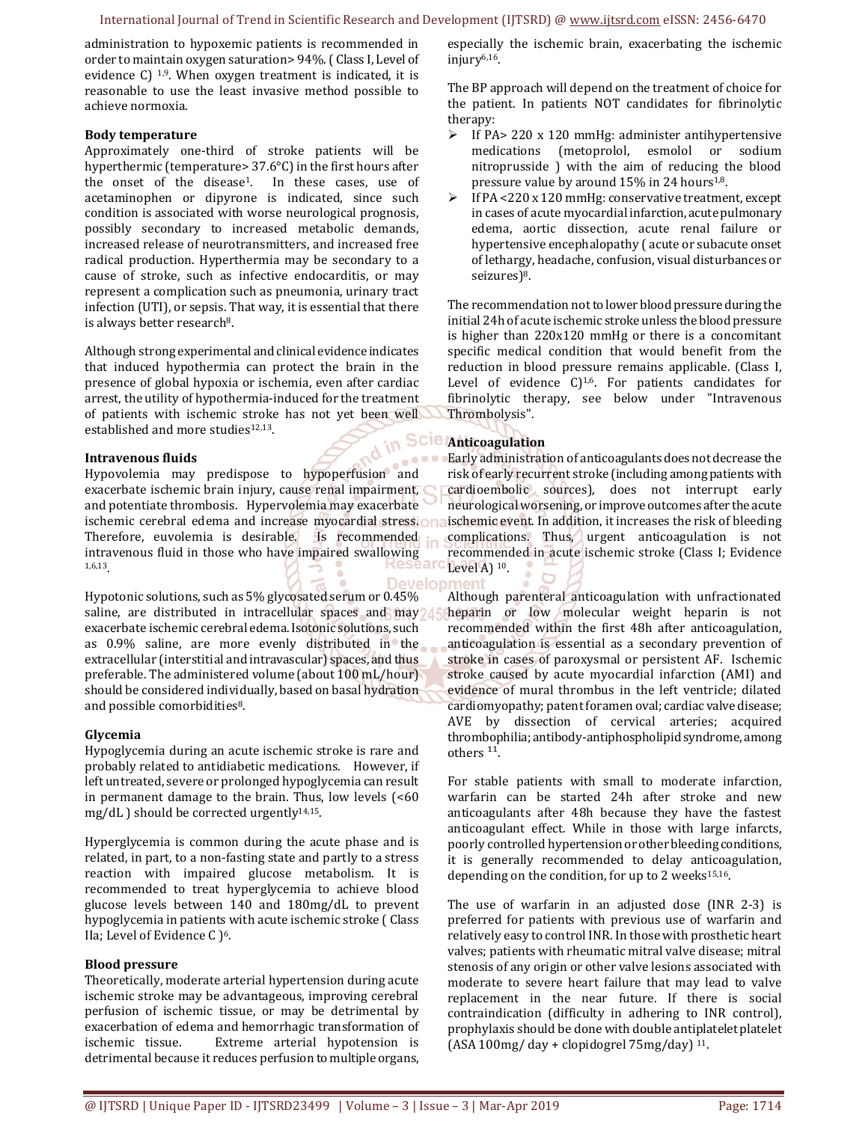administration to hypoxemic patients is recommended in order to maintain oxygen saturation> 94%. ( Class I, Level of evidence C) <sup>1,9</sup>. When oxygen treatment is indicated, it is reasonable to use the least invasive method possible to achieve normoxia.

#### **Body temperature**

Approximately one-third of stroke patients will be hyperthermic (temperature> 37.6°C) in the first hours after the onset of the disease1. In these cases, use of acetaminophen or dipyrone is indicated, since such condition is associated with worse neurological prognosis, possibly secondary to increased metabolic demands, increased release of neurotransmitters, and increased free radical production. Hyperthermia may be secondary to a cause of stroke, such as infective endocarditis, or may represent a complication such as pneumonia, urinary tract infection (UTI), or sepsis. That way, it is essential that there is always better research<sup>8</sup>.

Although strong experimental and clinical evidence indicates that induced hypothermia can protect the brain in the presence of global hypoxia or ischemia, even after cardiac arrest, the utility of hypothermia-induced for the treatment of patients with ischemic stroke has not yet been well established and more studies<sup>12,13</sup>.

#### **Intravenous fluids**

Hypovolemia may predispose to hypoperfusion and exacerbate ischemic brain injury, cause renal impairment, and potentiate thrombosis. Hypervolemia may exacerbate ischemic cerebral edema and increase myocardial stress. Therefore, euvolemia is desirable. Is recommended intravenous fluid in those who have impaired swallowing 1,6,13.

Develop Hypotonic solutions, such as 5% glycosated serum or 0.45% saline, are distributed in intracellular spaces and may  $\triangle$ exacerbate ischemic cerebral edema. Isotonic solutions, such as 0.9% saline, are more evenly distributed in the extracellular (interstitial and intravascular) spaces, and thus preferable. The administered volume (about 100 mL/hour) should be considered individually, based on basal hydration and possible comorbidities<sup>8</sup>.

#### **Glycemia**

Hypoglycemia during an acute ischemic stroke is rare and probably related to antidiabetic medications. However, if left untreated, severe or prolonged hypoglycemia can result in permanent damage to the brain. Thus, low levels (<60 mg/dL ) should be corrected urgently<sup>14,15</sup>.

Hyperglycemia is common during the acute phase and is related, in part, to a non-fasting state and partly to a stress reaction with impaired glucose metabolism. It is recommended to treat hyperglycemia to achieve blood glucose levels between 140 and 180mg/dL to prevent hypoglycemia in patients with acute ischemic stroke ( Class IIa; Level of Evidence C )<sup>6</sup>.

#### **Blood pressure**

Theoretically, moderate arterial hypertension during acute ischemic stroke may be advantageous, improving cerebral perfusion of ischemic tissue, or may be detrimental by exacerbation of edema and hemorrhagic transformation of ischemic tissue. Extreme arterial hypotension is detrimental because it reduces perfusion to multiple organs, especially the ischemic brain, exacerbating the ischemic injury6,16.

The BP approach will depend on the treatment of choice for the patient. In patients NOT candidates for fibrinolytic therapy:

- $\triangleright$  If PA> 220 x 120 mmHg: administer antihypertensive medications (metoprolol, esmolol or sodium nitroprusside ) with the aim of reducing the blood pressure value by around 15% in 24 hours1,8.
- $\triangleright$  If PA <220 x 120 mmHg: conservative treatment, except in cases of acute myocardial infarction, acute pulmonary edema, aortic dissection, acute renal failure or hypertensive encephalopathy ( acute or subacute onset of lethargy, headache, confusion, visual disturbances or seizures)<sup>8</sup>.

The recommendation not to lower blood pressure during the initial 24h of acute ischemic stroke unless the blood pressure is higher than 220x120 mmHg or there is a concomitant specific medical condition that would benefit from the reduction in blood pressure remains applicable. (Class I, Level of evidence  $C$ <sup>1,6</sup>. For patients candidates for fibrinolytic therapy, see below under "Intravenous Thrombolysis".

# **Anticoagulation**

Early administration of anticoagulants does not decrease the risk of early recurrent stroke (including among patients with cardioembolic sources), does not interrupt early neurological worsening, or improve outcomes after the acute ischemic event. In addition, it increases the risk of bleeding complications. Thus, urgent anticoagulation is not recommended in acute ischemic stroke (Class I; Evidence Level  $A)$  <sup>10</sup>.

Although parenteral anticoagulation with unfractionated heparin or low molecular weight heparin is not recommended within the first 48h after anticoagulation, anticoagulation is essential as a secondary prevention of stroke in cases of paroxysmal or persistent AF. Ischemic stroke caused by acute myocardial infarction (AMI) and evidence of mural thrombus in the left ventricle; dilated cardiomyopathy; patent foramen oval; cardiac valve disease; AVE by dissection of cervical arteries; acquired thrombophilia; antibody-antiphospholipid syndrome, among others<sup>11</sup>.

For stable patients with small to moderate infarction, warfarin can be started 24h after stroke and new anticoagulants after 48h because they have the fastest anticoagulant effect. While in those with large infarcts, poorly controlled hypertension or other bleeding conditions, it is generally recommended to delay anticoagulation, depending on the condition, for up to 2 weeks $15,16$ .

The use of warfarin in an adjusted dose (INR 2-3) is preferred for patients with previous use of warfarin and relatively easy to control INR. In those with prosthetic heart valves; patients with rheumatic mitral valve disease; mitral stenosis of any origin or other valve lesions associated with moderate to severe heart failure that may lead to valve replacement in the near future. If there is social contraindication (difficulty in adhering to INR control), prophylaxis should be done with double antiplatelet platelet (ASA 100mg/ day + clopidogrel 75mg/day) 11.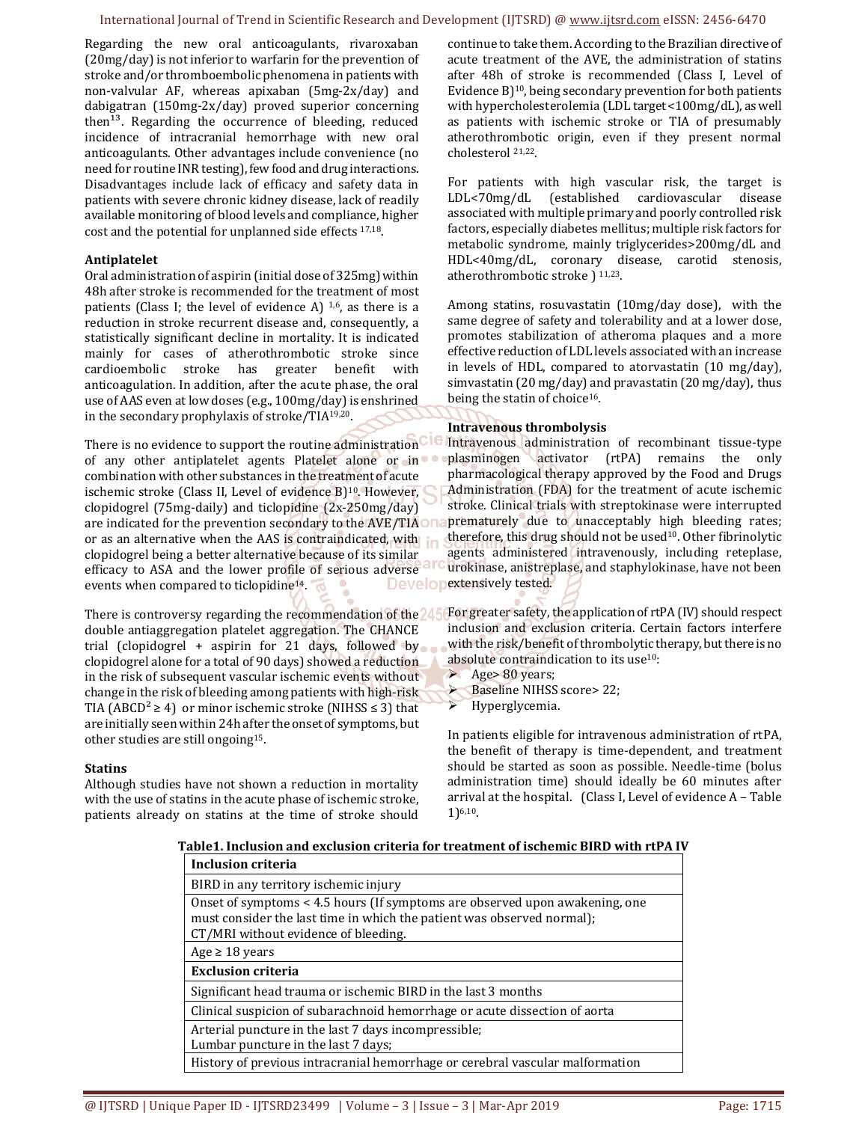Regarding the new oral anticoagulants, rivaroxaban (20mg/day) is not inferior to warfarin for the prevention of stroke and/or thromboembolic phenomena in patients with non-valvular AF, whereas apixaban (5mg-2x/day) and dabigatran (150mg-2x/day) proved superior concerning then $^{13}$ . Regarding the occurrence of bleeding, reduced incidence of intracranial hemorrhage with new oral anticoagulants. Other advantages include convenience (no need for routine INR testing), few food and drug interactions. Disadvantages include lack of efficacy and safety data in patients with severe chronic kidney disease, lack of readily available monitoring of blood levels and compliance, higher cost and the potential for unplanned side effects 17,18.

#### **Antiplatelet**

Oral administration of aspirin (initial dose of 325mg) within 48h after stroke is recommended for the treatment of most patients (Class I; the level of evidence A)  $1,6$ , as there is a reduction in stroke recurrent disease and, consequently, a statistically significant decline in mortality. It is indicated mainly for cases of atherothrombotic stroke since cardioembolic stroke has greater benefit with anticoagulation. In addition, after the acute phase, the oral use of AAS even at low doses (e.g., 100mg/day) is enshrined in the secondary prophylaxis of stroke/TIA19,20.

There is no evidence to support the routine administration<sup>CIC</sup> of any other antiplatelet agents Platelet alone or in combination with other substances in the treatment of acute ischemic stroke (Class II, Level of evidence B)<sup>10</sup>. However, clopidogrel (75mg-daily) and ticlopidine (2x-250mg/day) are indicated for the prevention secondary to the AVE/TIA or as an alternative when the AAS is contraindicated, with clopidogrel being a better alternative because of its similar efficacy to ASA and the lower profile of serious adverse events when compared to ticlopidine<sup>14</sup>.

double antiaggregation platelet aggregation. The CHANCE trial (clopidogrel + aspirin for 21 days, followed by clopidogrel alone for a total of 90 days) showed a reduction in the risk of subsequent vascular ischemic events without change in the risk of bleeding among patients with high-risk TIA (ABCD<sup>2</sup> ≥ 4) or minor ischemic stroke (NIHSS ≤ 3) that are initially seen within 24h after the onset of symptoms, but other studies are still ongoing15.

#### **Statins**

Although studies have not shown a reduction in mortality with the use of statins in the acute phase of ischemic stroke, patients already on statins at the time of stroke should

continue to take them. According to the Brazilian directive of acute treatment of the AVE, the administration of statins after 48h of stroke is recommended (Class I, Level of Evidence B)<sup>10</sup>, being secondary prevention for both patients with hypercholesterolemia (LDL target <100mg/dL), as well as patients with ischemic stroke or TIA of presumably atherothrombotic origin, even if they present normal cholesterol 21,22.

For patients with high vascular risk, the target is LDL<70mg/dL (established cardiovascular disease associated with multiple primary and poorly controlled risk factors, especially diabetes mellitus; multiple risk factors for metabolic syndrome, mainly triglycerides>200mg/dL and HDL<40mg/dL, coronary disease, carotid stenosis, atherothrombotic stroke ) 11,23.

Among statins, rosuvastatin (10mg/day dose), with the same degree of safety and tolerability and at a lower dose, promotes stabilization of atheroma plaques and a more effective reduction of LDL levels associated with an increase in levels of HDL, compared to atorvastatin (10 mg/day), simvastatin (20 mg/day) and pravastatin (20 mg/day), thus being the statin of choice<sup>16</sup>.

#### **Intravenous thrombolysis**

Intravenous administration of recombinant tissue-type plasminogen activator (rtPA) remains the only pharmacological therapy approved by the Food and Drugs Administration (FDA) for the treatment of acute ischemic stroke. Clinical trials with streptokinase were interrupted prematurely due to unacceptably high bleeding rates; therefore, this drug should not be used<sup>10</sup>. Other fibrinolytic agents administered intravenously, including reteplase, urokinase, anistreplase, and staphylokinase, have not been Developextensively tested.

There is controversy regarding the recommendation of the 245 For greater safety, the application of rtPA (IV) should respect inclusion and exclusion criteria. Certain factors interfere with the risk/benefit of thrombolytic therapy, but there is no absolute contraindication to its use10:

- $\blacktriangleright$  Age > 80 years;
- Baseline NIHSS score> 22;
- $\triangleright$  Hyperglycemia.

In patients eligible for intravenous administration of rtPA, the benefit of therapy is time-dependent, and treatment should be started as soon as possible. Needle-time (bolus administration time) should ideally be 60 minutes after arrival at the hospital. (Class I, Level of evidence A – Table 1)6,10.

**Table1. Inclusion and exclusion criteria for treatment of ischemic BIRD with rtPA IV**

| <b>Inclusion criteria</b>                                                                                                                                                                     |
|-----------------------------------------------------------------------------------------------------------------------------------------------------------------------------------------------|
| BIRD in any territory ischemic injury                                                                                                                                                         |
| Onset of symptoms < 4.5 hours (If symptoms are observed upon awakening, one<br>must consider the last time in which the patient was observed normal);<br>CT/MRI without evidence of bleeding. |
| Age $\geq 18$ years                                                                                                                                                                           |
| <b>Exclusion criteria</b>                                                                                                                                                                     |
| Significant head trauma or ischemic BIRD in the last 3 months                                                                                                                                 |
| Clinical suspicion of subarachnoid hemorrhage or acute dissection of aorta                                                                                                                    |
| Arterial puncture in the last 7 days incompressible;<br>Lumbar puncture in the last 7 days;                                                                                                   |
| History of previous intracranial hemorrhage or cerebral vascular malformation                                                                                                                 |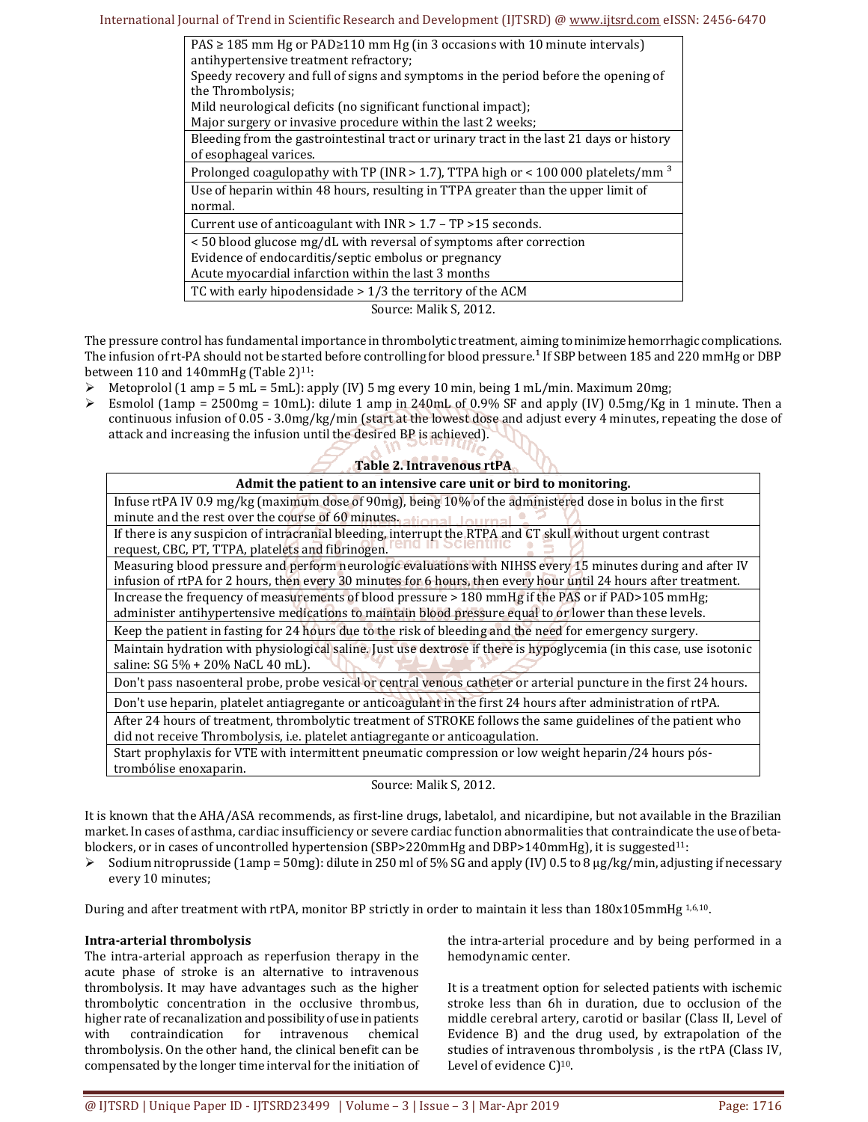| $PAS \ge 185$ mm Hg or PAD $\ge 110$ mm Hg (in 3 occasions with 10 minute intervals)           |
|------------------------------------------------------------------------------------------------|
| antihypertensive treatment refractory;                                                         |
| Speedy recovery and full of signs and symptoms in the period before the opening of             |
| the Thrombolysis;                                                                              |
| Mild neurological deficits (no significant functional impact);                                 |
| Major surgery or invasive procedure within the last 2 weeks;                                   |
| Bleeding from the gastrointestinal tract or urinary tract in the last 21 days or history       |
| of esophageal varices.                                                                         |
| Prolonged coagulopathy with TP (INR $>$ 1.7), TTPA high or < 100 000 platelets/mm <sup>3</sup> |
| Use of heparin within 48 hours, resulting in TTPA greater than the upper limit of              |
| normal.                                                                                        |
| Current use of anticoagulant with $INR > 1.7 - TP > 15$ seconds.                               |
| <50 blood glucose mg/dL with reversal of symptoms after correction                             |
| Evidence of endocarditis/septic embolus or pregnancy                                           |
| Acute myocardial infarction within the last 3 months                                           |
| TC with early hipodensidade $> 1/3$ the territory of the ACM                                   |
| Source: Malik S, 2012.                                                                         |

The pressure control has fundamental importance in thrombolytic treatment, aiming to minimize hemorrhagic complications. The infusion of rt-PA should not be started before controlling for blood pressure.<sup>1</sup> If SBP between 185 and 220 mmHg or DBP between 110 and 140mmHg (Table  $2)^{11}$ :

- $\triangleright$  Metoprolol (1 amp = 5 mL = 5mL): apply (IV) 5 mg every 10 min, being 1 mL/min. Maximum 20mg;
- $\triangleright$  Esmolol (1amp = 2500mg = 10mL): dilute 1 amp in 240mL of 0.9% SF and apply (IV) 0.5mg/Kg in 1 minute. Then a continuous infusion of 0.05 - 3.0mg/kg/min (start at the lowest dose and adjust every 4 minutes, repeating the dose of attack and increasing the infusion until the desired BP is achieved).

| <b>Table 2. Intravenous rtPA</b>                                                                                                                                                                                                |
|---------------------------------------------------------------------------------------------------------------------------------------------------------------------------------------------------------------------------------|
| Admit the patient to an intensive care unit or bird to monitoring.                                                                                                                                                              |
| Infuse rtPA IV 0.9 mg/kg (maximum dose of 90mg), being 10% of the administered dose in bolus in the first<br>minute and the rest over the course of 60 minutes, ational lowers                                                  |
| If there is any suspicion of intracranial bleeding, interrupt the RTPA and CT skull without urgent contrast<br>request, CBC, PT, TTPA, platelets and fibrinogen.                                                                |
| Measuring blood pressure and perform neurologic evaluations with NIHSS every 15 minutes during and after IV<br>infusion of rtPA for 2 hours, then every 30 minutes for 6 hours, then every hour until 24 hours after treatment. |
| Increase the frequency of measurements of blood pressure > 180 mmHg if the PAS or if PAD>105 mmHg;<br>administer antihypertensive medications to maintain blood pressure equal to or lower than these levels.                   |
| Keep the patient in fasting for 24 hours due to the risk of bleeding and the need for emergency surgery.                                                                                                                        |
| Maintain hydration with physiological saline. Just use dextrose if there is hypoglycemia (in this case, use isotonic<br>saline: SG 5% + 20% NaCL 40 mL).                                                                        |
| Don't pass nasoenteral probe, probe vesical or central venous catheter or arterial puncture in the first 24 hours.                                                                                                              |
| Don't use heparin, platelet antiagregante or anticoagulant in the first 24 hours after administration of rtPA.                                                                                                                  |
| After 24 hours of treatment, thrombolytic treatment of STROKE follows the same guidelines of the patient who<br>did not receive Thrombolysis, i.e. platelet antiagregante or anticoagulation.                                   |
| Start prophylaxis for VTE with intermittent pneumatic compression or low weight heparin/24 hours pós-<br>trombólise enoxaparin.                                                                                                 |

Source: Malik S, 2012.

It is known that the AHA/ASA recommends, as first-line drugs, labetalol, and nicardipine, but not available in the Brazilian market. In cases of asthma, cardiac insufficiency or severe cardiac function abnormalities that contraindicate the use of betablockers, or in cases of uncontrolled hypertension (SBP>220mmHg and DBP>140mmHg), it is suggested<sup>11</sup>:

Sodium nitroprusside (1amp = 50mg): dilute in 250 ml of 5% SG and apply (IV) 0.5 to 8 µg/kg/min, adjusting if necessary every 10 minutes;

During and after treatment with rtPA, monitor BP strictly in order to maintain it less than 180x105mmHg 1,6,10.

#### **Intra-arterial thrombolysis**

The intra-arterial approach as reperfusion therapy in the acute phase of stroke is an alternative to intravenous thrombolysis. It may have advantages such as the higher thrombolytic concentration in the occlusive thrombus, higher rate of recanalization and possibility of use in patients with contraindication for intravenous chemical thrombolysis. On the other hand, the clinical benefit can be compensated by the longer time interval for the initiation of the intra-arterial procedure and by being performed in a hemodynamic center.

It is a treatment option for selected patients with ischemic stroke less than 6h in duration, due to occlusion of the middle cerebral artery, carotid or basilar (Class II, Level of Evidence B) and the drug used, by extrapolation of the studies of intravenous thrombolysis , is the rtPA (Class IV, Level of evidence C)<sup>10</sup>.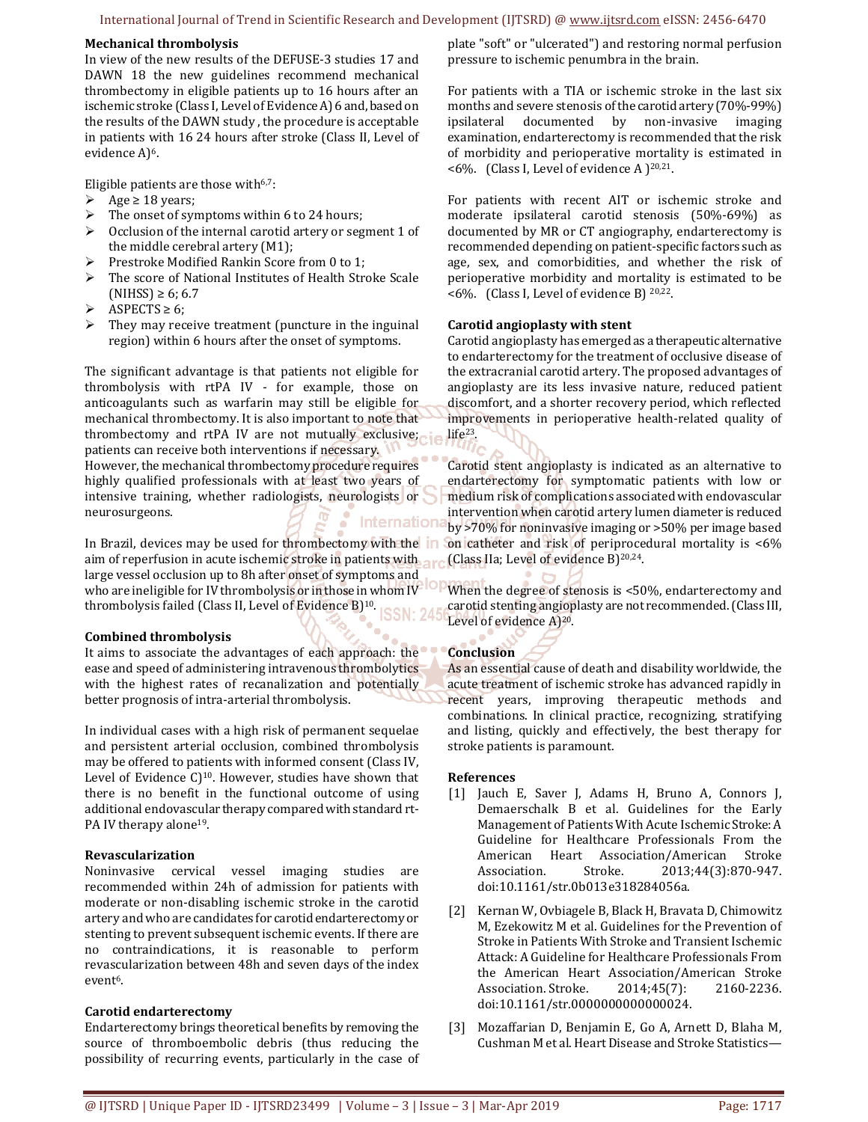#### International Journal of Trend in Scientific Research and Development (IJTSRD) @ www.ijtsrd.com eISSN: 2456-6470

#### **Mechanical thrombolysis**

In view of the new results of the DEFUSE-3 studies 17 and DAWN 18 the new guidelines recommend mechanical thrombectomy in eligible patients up to 16 hours after an ischemic stroke (Class I, Level of Evidence A) 6 and, based on the results of the DAWN study , the procedure is acceptable in patients with 16 24 hours after stroke (Class II, Level of evidence A)<sup>6</sup>.

Eligible patients are those with<sup>6,7</sup>:

- Age  $\geq 18$  years;<br>> The onset of sym
- The onset of symptoms within 6 to 24 hours;
- $\triangleright$  Occlusion of the internal carotid artery or segment 1 of the middle cerebral artery (M1);
- $\triangleright$  Prestroke Modified Rankin Score from 0 to 1;
- > The score of National Institutes of Health Stroke Scale  $(NIHSS) ≥ 6; 6.7$
- $\triangleright$  ASPECTS  $\geq 6$ ;
- $\triangleright$  They may receive treatment (puncture in the inguinal region) within 6 hours after the onset of symptoms.

The significant advantage is that patients not eligible for thrombolysis with rtPA IV - for example, those on anticoagulants such as warfarin may still be eligible for mechanical thrombectomy. It is also important to note that thrombectomy and rtPA IV are not mutually exclusive; patients can receive both interventions if necessary. However, the mechanical thrombectomy procedure requires highly qualified professionals with at least two years of intensive training, whether radiologists, neurologists or neurosurgeons. Internationa

In Brazil, devices may be used for thrombectomy with the aim of reperfusion in acute ischemic stroke in patients with  $_{\text{max}}$  (Class IIa; Level of evidence B)<sup>20,24</sup>. large vessel occlusion up to 8h after onset of symptoms and who are ineligible for IV thrombolysis or in those in whom IV IO who are mengion for ty divenues, see the produce B)<sup>10</sup>. **SSN: 24** 

#### **Combined thrombolysis**

It aims to associate the advantages of each approach: the ease and speed of administering intravenous thrombolytics with the highest rates of recanalization and potentially better prognosis of intra-arterial thrombolysis.

In individual cases with a high risk of permanent sequelae and persistent arterial occlusion, combined thrombolysis may be offered to patients with informed consent (Class IV, Level of Evidence C)<sup>10</sup>. However, studies have shown that there is no benefit in the functional outcome of using additional endovascular therapy compared with standard rt-PA IV therapy alone<sup>19</sup>.

#### **Revascularization**

Noninvasive cervical vessel imaging studies are recommended within 24h of admission for patients with moderate or non-disabling ischemic stroke in the carotid artery and who are candidates for carotid endarterectomy or stenting to prevent subsequent ischemic events. If there are no contraindications, it is reasonable to perform revascularization between 48h and seven days of the index event6.

#### **Carotid endarterectomy**

Endarterectomy brings theoretical benefits by removing the source of thromboembolic debris (thus reducing the possibility of recurring events, particularly in the case of plate "soft" or "ulcerated") and restoring normal perfusion pressure to ischemic penumbra in the brain.

For patients with a TIA or ischemic stroke in the last six months and severe stenosis of the carotid artery (70%-99%) ipsilateral documented by non-invasive imaging examination, endarterectomy is recommended that the risk of morbidity and perioperative mortality is estimated in  $<6\%$ . (Class I, Level of evidence A )<sup>20,21</sup>.

For patients with recent AIT or ischemic stroke and moderate ipsilateral carotid stenosis (50%-69%) as documented by MR or CT angiography, endarterectomy is recommended depending on patient-specific factors such as age, sex, and comorbidities, and whether the risk of perioperative morbidity and mortality is estimated to be <6%. (Class I, Level of evidence B) 20,22.

## **Carotid angioplasty with stent**

Carotid angioplasty has emerged as a therapeutic alternative to endarterectomy for the treatment of occlusive disease of the extracranial carotid artery. The proposed advantages of angioplasty are its less invasive nature, reduced patient discomfort, and a shorter recovery period, which reflected improvements in perioperative health-related quality of life23.

Carotid stent angioplasty is indicated as an alternative to endarterectomy for symptomatic patients with low or medium risk of complications associated with endovascular intervention when carotid artery lumen diameter is reduced by >70% for noninvasive imaging or >50% per image based on catheter and risk of periprocedural mortality is <6%

When the degree of stenosis is <50%, endarterectomy and carotid stenting angioplasty are not recommended. (Class III, Level of evidence A)20.

# **Conclusion**

As an essential cause of death and disability worldwide, the acute treatment of ischemic stroke has advanced rapidly in recent years, improving therapeutic methods and combinations. In clinical practice, recognizing, stratifying and listing, quickly and effectively, the best therapy for stroke patients is paramount.

#### **References**

- [1] Jauch E, Saver J, Adams H, Bruno A, Connors J, Demaerschalk B et al. Guidelines for the Early Management of Patients With Acute Ischemic Stroke: A Guideline for Healthcare Professionals From the American Heart Association/American Stroke Association. Stroke. 2013;44(3):870-947. doi:10.1161/str.0b013e318284056a.
- [2] Kernan W, Ovbiagele B, Black H, Bravata D, Chimowitz M, Ezekowitz M et al. Guidelines for the Prevention of Stroke in Patients With Stroke and Transient Ischemic Attack: A Guideline for Healthcare Professionals From the American Heart Association/American Stroke Association. Stroke. 2014;45(7): 2160-2236. doi:10.1161/str.0000000000000024.
- [3] Mozaffarian D, Benjamin E, Go A, Arnett D, Blaha M, Cushman M et al. Heart Disease and Stroke Statistics—